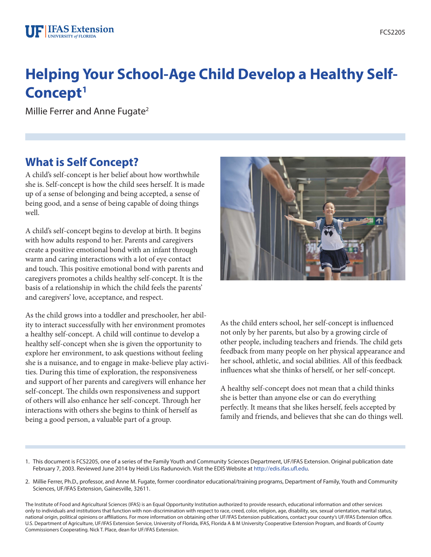# **Helping Your School-Age Child Develop a Healthy Self-Concept1**

Millie Ferrer and Anne Fugate<sup>2</sup>

# **What is Self Concept?**

A child's self-concept is her belief about how worthwhile she is. Self-concept is how the child sees herself. It is made up of a sense of belonging and being accepted, a sense of being good, and a sense of being capable of doing things well.

A child's self-concept begins to develop at birth. It begins with how adults respond to her. Parents and caregivers create a positive emotional bond with an infant through warm and caring interactions with a lot of eye contact and touch. This positive emotional bond with parents and caregivers promotes a childs healthy self-concept. It is the basis of a relationship in which the child feels the parents' and caregivers' love, acceptance, and respect.

As the child grows into a toddler and preschooler, her ability to interact successfully with her environment promotes a healthy self-concept. A child will continue to develop a healthy self-concept when she is given the opportunity to explore her environment, to ask questions without feeling she is a nuisance, and to engage in make-believe play activities. During this time of exploration, the responsiveness and support of her parents and caregivers will enhance her self-concept. The childs own responsiveness and support of others will also enhance her self-concept. Through her interactions with others she begins to think of herself as being a good person, a valuable part of a group.



As the child enters school, her self-concept is influenced not only by her parents, but also by a growing circle of other people, including teachers and friends. The child gets feedback from many people on her physical appearance and her school, athletic, and social abilities. All of this feedback influences what she thinks of herself, or her self-concept.

A healthy self-concept does not mean that a child thinks she is better than anyone else or can do everything perfectly. It means that she likes herself, feels accepted by family and friends, and believes that she can do things well.

- 1. This document is FCS2205, one of a series of the Family Youth and Community Sciences Department, UF/IFAS Extension. Original publication date February 7, 2003. Reviewed June 2014 by Heidi Liss Radunovich. Visit the EDIS Website at [http://edis.ifas.ufl.edu.](http://edis.ifas.ufl.edu)
- 2. Millie Ferrer, Ph.D., professor, and Anne M. Fugate, former coordinator educational/training programs, Department of Family, Youth and Community Sciences, UF/IFAS Extension, Gainesville, 32611.

The Institute of Food and Agricultural Sciences (IFAS) is an Equal Opportunity Institution authorized to provide research, educational information and other services only to individuals and institutions that function with non-discrimination with respect to race, creed, color, religion, age, disability, sex, sexual orientation, marital status, national origin, political opinions or affiliations. For more information on obtaining other UF/IFAS Extension publications, contact your county's UF/IFAS Extension office. U.S. Department of Agriculture, UF/IFAS Extension Service, University of Florida, IFAS, Florida A & M University Cooperative Extension Program, and Boards of County Commissioners Cooperating. Nick T. Place, dean for UF/IFAS Extension.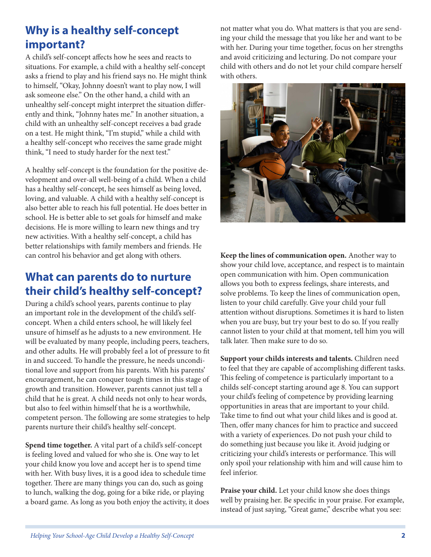# **Why is a healthy self-concept important?**

A child's self-concept affects how he sees and reacts to situations. For example, a child with a healthy self-concept asks a friend to play and his friend says no. He might think to himself, "Okay, Johnny doesn't want to play now, I will ask someone else." On the other hand, a child with an unhealthy self-concept might interpret the situation differently and think, "Johnny hates me." In another situation, a child with an unhealthy self-concept receives a bad grade on a test. He might think, "I'm stupid," while a child with a healthy self-concept who receives the same grade might think, "I need to study harder for the next test."

A healthy self-concept is the foundation for the positive development and over-all well-being of a child. When a child has a healthy self-concept, he sees himself as being loved, loving, and valuable. A child with a healthy self-concept is also better able to reach his full potential. He does better in school. He is better able to set goals for himself and make decisions. He is more willing to learn new things and try new activities. With a healthy self-concept, a child has better relationships with family members and friends. He can control his behavior and get along with others.

### **What can parents do to nurture their child's healthy self-concept?**

During a child's school years, parents continue to play an important role in the development of the child's selfconcept. When a child enters school, he will likely feel unsure of himself as he adjusts to a new environment. He will be evaluated by many people, including peers, teachers, and other adults. He will probably feel a lot of pressure to fit in and succeed. To handle the pressure, he needs unconditional love and support from his parents. With his parents' encouragement, he can conquer tough times in this stage of growth and transition. However, parents cannot just tell a child that he is great. A child needs not only to hear words, but also to feel within himself that he is a worthwhile, competent person. The following are some strategies to help parents nurture their child's healthy self-concept.

**Spend time together.** A vital part of a child's self-concept is feeling loved and valued for who she is. One way to let your child know you love and accept her is to spend time with her. With busy lives, it is a good idea to schedule time together. There are many things you can do, such as going to lunch, walking the dog, going for a bike ride, or playing a board game. As long as you both enjoy the activity, it does not matter what you do. What matters is that you are sending your child the message that you like her and want to be with her. During your time together, focus on her strengths and avoid criticizing and lecturing. Do not compare your child with others and do not let your child compare herself with others.



**Keep the lines of communication open.** Another way to show your child love, acceptance, and respect is to maintain open communication with him. Open communication allows you both to express feelings, share interests, and solve problems. To keep the lines of communication open, listen to your child carefully. Give your child your full attention without disruptions. Sometimes it is hard to listen when you are busy, but try your best to do so. If you really cannot listen to your child at that moment, tell him you will talk later. Then make sure to do so.

**Support your childs interests and talents.** Children need to feel that they are capable of accomplishing different tasks. This feeling of competence is particularly important to a childs self-concept starting around age 8. You can support your child's feeling of competence by providing learning opportunities in areas that are important to your child. Take time to find out what your child likes and is good at. Then, offer many chances for him to practice and succeed with a variety of experiences. Do not push your child to do something just because you like it. Avoid judging or criticizing your child's interests or performance. This will only spoil your relationship with him and will cause him to feel inferior.

**Praise your child.** Let your child know she does things well by praising her. Be specific in your praise. For example, instead of just saying, "Great game," describe what you see: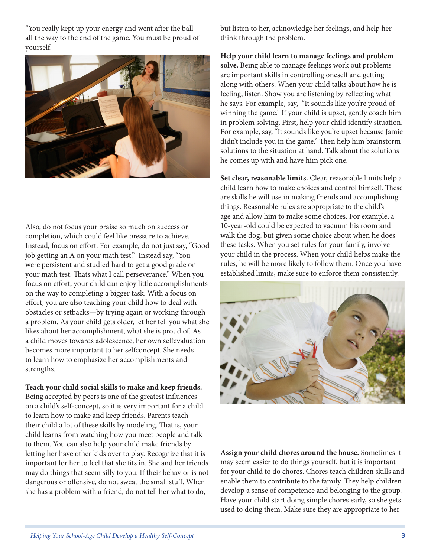"You really kept up your energy and went after the ball all the way to the end of the game. You must be proud of yourself.



Also, do not focus your praise so much on success or completion, which could feel like pressure to achieve. Instead, focus on effort. For example, do not just say, "Good job getting an A on your math test." Instead say, "You were persistent and studied hard to get a good grade on your math test. Thats what I call perseverance." When you focus on effort, your child can enjoy little accomplishments on the way to completing a bigger task. With a focus on effort, you are also teaching your child how to deal with obstacles or setbacks—by trying again or working through a problem. As your child gets older, let her tell you what she likes about her accomplishment, what she is proud of. As a child moves towards adolescence, her own selfevaluation becomes more important to her selfconcept. She needs to learn how to emphasize her accomplishments and strengths.

#### **Teach your child social skills to make and keep friends.**

Being accepted by peers is one of the greatest influences on a child's self-concept, so it is very important for a child to learn how to make and keep friends. Parents teach their child a lot of these skills by modeling. That is, your child learns from watching how you meet people and talk to them. You can also help your child make friends by letting her have other kids over to play. Recognize that it is important for her to feel that she fits in. She and her friends may do things that seem silly to you. If their behavior is not dangerous or offensive, do not sweat the small stuff. When she has a problem with a friend, do not tell her what to do,

but listen to her, acknowledge her feelings, and help her think through the problem.

**Help your child learn to manage feelings and problem solve.** Being able to manage feelings work out problems are important skills in controlling oneself and getting along with others. When your child talks about how he is feeling, listen. Show you are listening by reflecting what he says. For example, say, "It sounds like you're proud of winning the game." If your child is upset, gently coach him in problem solving. First, help your child identify situation. For example, say, "It sounds like you're upset because Jamie didn't include you in the game." Then help him brainstorm solutions to the situation at hand. Talk about the solutions he comes up with and have him pick one.

**Set clear, reasonable limits.** Clear, reasonable limits help a child learn how to make choices and control himself. These are skills he will use in making friends and accomplishing things. Reasonable rules are appropriate to the child's age and allow him to make some choices. For example, a 10-year-old could be expected to vacuum his room and walk the dog, but given some choice about when he does these tasks. When you set rules for your family, involve your child in the process. When your child helps make the rules, he will be more likely to follow them. Once you have established limits, make sure to enforce them consistently.



**Assign your child chores around the house.** Sometimes it may seem easier to do things yourself, but it is important for your child to do chores. Chores teach children skills and enable them to contribute to the family. They help children develop a sense of competence and belonging to the group. Have your child start doing simple chores early, so she gets used to doing them. Make sure they are appropriate to her